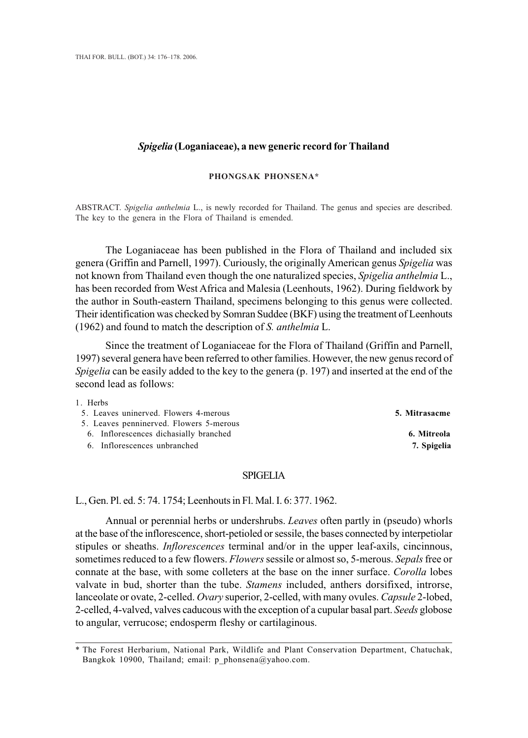### *Spigelia* **(Loganiaceae), a new generic record for Thailand**

#### **PHONGSAK PHONSENA\***

ABSTRACT. *Spigelia anthelmia* L., is newly recorded for Thailand. The genus and species are described. The key to the genera in the Flora of Thailand is emended.

The Loganiaceae has been published in the Flora of Thailand and included six genera (Griffin and Parnell, 1997). Curiously, the originally American genus *Spigelia* was not known from Thailand even though the one naturalized species, *Spigelia anthelmia* L., has been recorded from West Africa and Malesia (Leenhouts, 1962). During fieldwork by the author in South-eastern Thailand, specimens belonging to this genus were collected. Their identification was checked by Somran Suddee (BKF) using the treatment of Leenhouts (1962) and found to match the description of *S. anthelmia* L.

Since the treatment of Loganiaceae for the Flora of Thailand (Griffin and Parnell, 1997) several genera have been referred to other families. However, the new genus record of *Spigelia* can be easily added to the key to the genera (p. 197) and inserted at the end of the second lead as follows:

1. Herbs

### 5. Leaves uninerved. Flowers 4-merous **5. Mitrasacme**

- 5. Leaves penninerved. Flowers 5-merous
	- 6. Inflorescences dichasially branched **6. Mitreola**

6. Inflorescences unbranched **7. Spigelia**

## SPIGELIA

L., Gen. Pl. ed. 5: 74. 1754; Leenhouts in Fl. Mal. I. 6: 377. 1962.

Annual or perennial herbs or undershrubs. *Leaves* often partly in (pseudo) whorls at the base of the inflorescence, short-petioled or sessile, the bases connected by interpetiolar stipules or sheaths. *Inflorescences* terminal and/or in the upper leaf-axils, cincinnous, sometimes reduced to a few flowers. *Flowers* sessile or almost so, 5-merous. *Sepals* free or connate at the base, with some colleters at the base on the inner surface. *Corolla* lobes valvate in bud, shorter than the tube. *Stamens* included, anthers dorsifixed, introrse, lanceolate or ovate, 2-celled. *Ovary* superior, 2-celled, with many ovules. *Capsule* 2-lobed, 2-celled, 4-valved, valves caducous with the exception of a cupular basal part. *Seeds* globose to angular, verrucose; endosperm fleshy or cartilaginous.

<sup>\*</sup> The Forest Herbarium, National Park, Wildlife and Plant Conservation Department, Chatuchak, Bangkok 10900, Thailand; email: p\_phonsena@yahoo.com.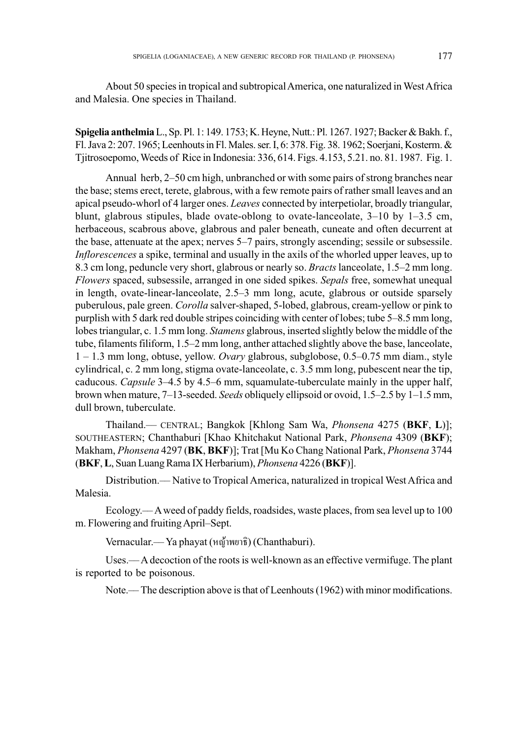About 50 species in tropical and subtropical America, one naturalized in West Africa and Malesia. One species in Thailand.

**Spigelia anthelmia**L., Sp. Pl. 1: 149. 1753; K. Heyne, Nutt.: Pl. 1267. 1927; Backer & Bakh. f., Fl. Java 2: 207. 1965; Leenhouts in Fl. Males. ser. I, 6: 378. Fig. 38. 1962; Soerjani, Kosterm. & Tjitrosoepomo, Weeds of Rice in Indonesia: 336, 614. Figs. 4.153, 5.21. no. 81. 1987. Fig. 1.

Annual herb, 2–50 cm high, unbranched or with some pairs of strong branches near the base; stems erect, terete, glabrous, with a few remote pairs of rather small leaves and an apical pseudo-whorl of 4 larger ones. *Leaves* connected by interpetiolar, broadly triangular, blunt, glabrous stipules, blade ovate-oblong to ovate-lanceolate,  $3-10$  by  $1-3.5$  cm, herbaceous, scabrous above, glabrous and paler beneath, cuneate and often decurrent at the base, attenuate at the apex; nerves 5–7 pairs, strongly ascending; sessile or subsessile. *Inflorescences* a spike, terminal and usually in the axils of the whorled upper leaves, up to 8.3 cm long, peduncle very short, glabrous or nearly so. *Bracts* lanceolate, 1.5–2 mm long. *Flowers* spaced, subsessile, arranged in one sided spikes. *Sepals* free, somewhat unequal in length, ovate-linear-lanceolate, 2.5–3 mm long, acute, glabrous or outside sparsely puberulous, pale green. *Corolla* salver-shaped, 5-lobed, glabrous, cream-yellow or pink to purplish with 5 dark red double stripes coinciding with center of lobes; tube 5–8.5 mm long, lobes triangular, c. 1.5 mm long. *Stamens* glabrous, inserted slightly below the middle of the tube, filaments filiform, 1.5–2 mm long, anther attached slightly above the base, lanceolate, 1 – 1.3 mm long, obtuse, yellow. *Ovary* glabrous, subglobose, 0.5–0.75 mm diam., style cylindrical, c. 2 mm long, stigma ovate-lanceolate, c. 3.5 mm long, pubescent near the tip, caducous. *Capsule* 3–4.5 by 4.5–6 mm, squamulate-tuberculate mainly in the upper half, brown when mature, 7–13-seeded. *Seeds* obliquely ellipsoid or ovoid, 1.5–2.5 by 1–1.5 mm, dull brown, tuberculate.

Thailand.–– CENTRAL; Bangkok [Khlong Sam Wa, *Phonsena* 4275 (**BKF**, **L**)]; SOUTHEASTERN; Chanthaburi [Khao Khitchakut National Park, *Phonsena* 4309 (**BKF**); Makham, *Phonsena* 4297 (**BK**, **BKF**)]; Trat [Mu Ko Chang National Park, *Phonsena* 3744 (**BKF**, **L**, Suan Luang Rama IX Herbarium), *Phonsena* 4226 (**BKF**)].

Distribution.–– Native to Tropical America, naturalized in tropical West Africa and Malesia.

Ecology.–– A weed of paddy fields, roadsides, waste places, from sea level up to 100 m. Flowering and fruiting April–Sept.

Vernacular.— Ya phayat (หญ้าพยาธิ) (Chanthaburi).

Uses.–– A decoction of the roots is well-known as an effective vermifuge. The plant is reported to be poisonous.

Note.— The description above is that of Leenhouts (1962) with minor modifications.